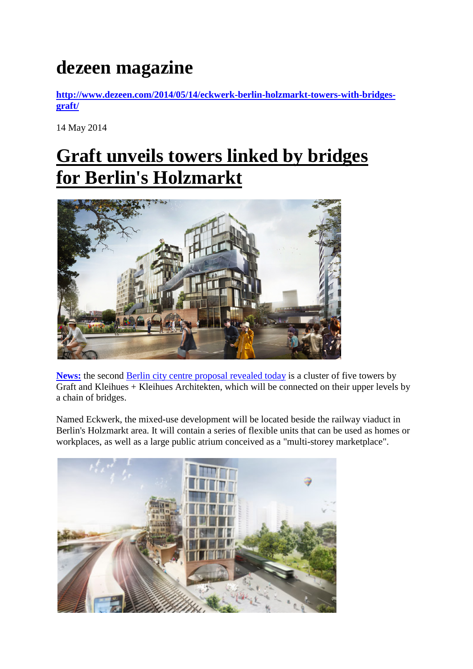## **dezeen magazine**

**[http://www.dezeen.com/2014/05/14/eckwerk-berlin-holzmarkt-towers-with-bridges](http://www.dezeen.com/2014/05/14/eckwerk-berlin-holzmarkt-towers-with-bridges-graft/)[graft/](http://www.dezeen.com/2014/05/14/eckwerk-berlin-holzmarkt-towers-with-bridges-graft/)**

14 May 2014

## **[Graft unveils towers linked by bridges](http://www.dezeen.com/2014/05/14/eckwerk-berlin-holzmarkt-towers-with-bridges-graft/) [for Berlin's Holzmarkt](http://www.dezeen.com/2014/05/14/eckwerk-berlin-holzmarkt-towers-with-bridges-graft/)**



**[News:](http://www.dezeen.com/news/)** the second [Berlin city centre proposal revealed today](http://www.dezeen.com/tag/berlin) is a cluster of five towers by Graft and Kleihues + Kleihues Architekten, which will be connected on their upper levels by a chain of bridges.

Named Eckwerk, the mixed-use development will be located beside the railway viaduct in Berlin's Holzmarkt area. It will contain a series of flexible units that can be used as homes or workplaces, as well as a large public atrium conceived as a "multi-storey marketplace".

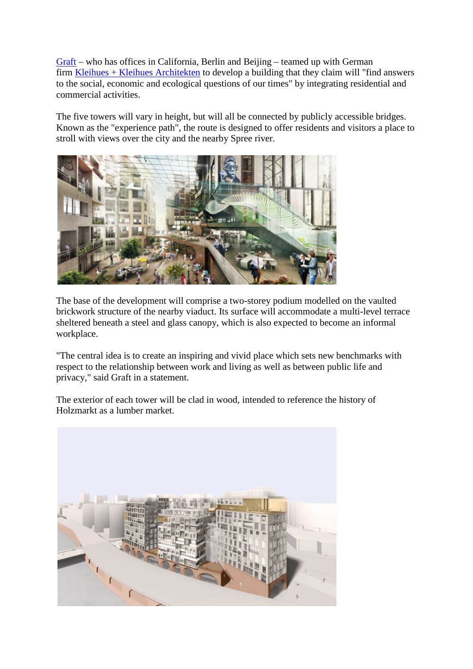[Graft](http://www.graftlab.com/) – who has offices in California, Berlin and Beijing – teamed up with German firm [Kleihues + Kleihues Architekten](http://www.kleihues.com/) to develop a building that they claim will "find answers to the social, economic and ecological questions of our times" by integrating residential and commercial activities.

The five towers will vary in height, but will all be connected by publicly accessible bridges. Known as the "experience path", the route is designed to offer residents and visitors a place to stroll with views over the city and the nearby Spree river.



The base of the development will comprise a two-storey podium modelled on the vaulted brickwork structure of the nearby viaduct. Its surface will accommodate a multi-level terrace sheltered beneath a steel and glass canopy, which is also expected to become an informal workplace.

"The central idea is to create an inspiring and vivid place which sets new benchmarks with respect to the relationship between work and living as well as between public life and privacy," said Graft in a statement.

The exterior of each tower will be clad in wood, intended to reference the history of Holzmarkt as a lumber market.

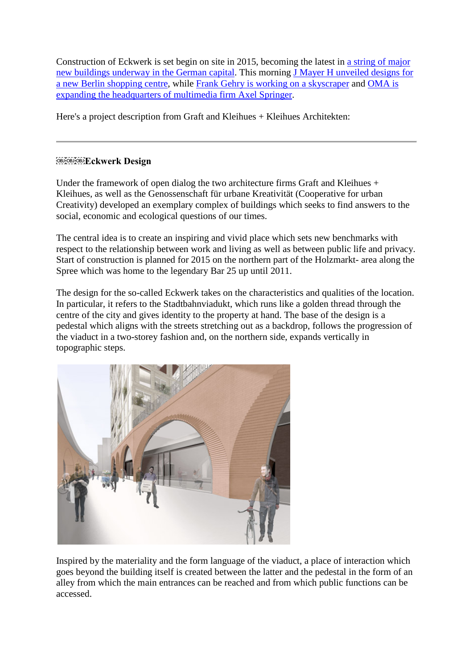Construction of Eckwerk is set begin on site in 2015, becoming the latest in [a string of major](http://www.dezeen.com/tag/berlin/)  new [buildings underway in the German capital.](http://www.dezeen.com/tag/berlin/) This morning [J Mayer H unveiled designs for](http://www.dezeen.com/2014/05/14/j-mayer-h-volt-berlin-shopping-centre-skydiving-surfing/)  [a new Berlin shopping centre,](http://www.dezeen.com/2014/05/14/j-mayer-h-volt-berlin-shopping-centre-skydiving-surfing/) while [Frank Gehry is working on a skyscraper](http://www.dezeen.com/2014/02/03/frank-gehry-berlin-tallest-skyscraper-hines/) and [OMA is](http://www.dezeen.com/2014/03/26/oma-wins-axel-springer-office-competition/)  [expanding the headquarters of multimedia firm Axel Springer.](http://www.dezeen.com/2014/03/26/oma-wins-axel-springer-office-competition/)

Here's a project description from Graft and Kleihues + Kleihues Architekten:

## **ECKWerk Design**

Under the framework of open dialog the two architecture firms Graft and Kleihues + Kleihues, as well as the Genossenschaft für urbane Kreativität (Cooperative for urban Creativity) developed an exemplary complex of buildings which seeks to find answers to the social, economic and ecological questions of our times.

The central idea is to create an inspiring and vivid place which sets new benchmarks with respect to the relationship between work and living as well as between public life and privacy. Start of construction is planned for 2015 on the northern part of the Holzmarkt- area along the Spree which was home to the legendary Bar 25 up until 2011.

The design for the so-called Eckwerk takes on the characteristics and qualities of the location. In particular, it refers to the Stadtbahnviadukt, which runs like a golden thread through the centre of the city and gives identity to the property at hand. The base of the design is a pedestal which aligns with the streets stretching out as a backdrop, follows the progression of the viaduct in a two-storey fashion and, on the northern side, expands vertically in topographic steps.



Inspired by the materiality and the form language of the viaduct, a place of interaction which goes beyond the building itself is created between the latter and the pedestal in the form of an alley from which the main entrances can be reached and from which public functions can be accessed.